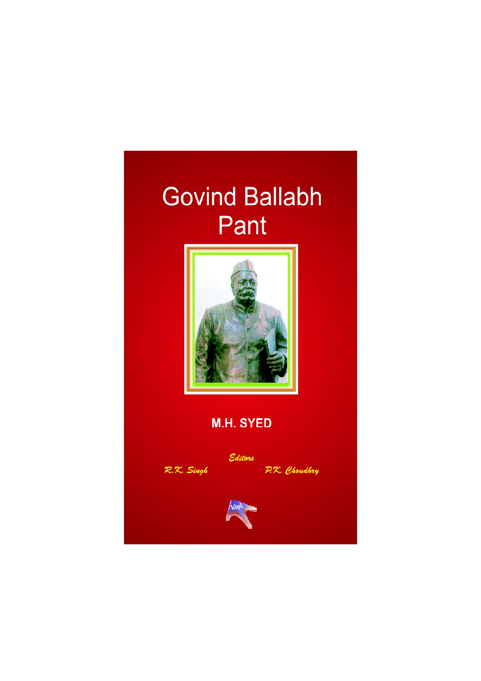

## **M.H. SYED**



P.K. Choudbry

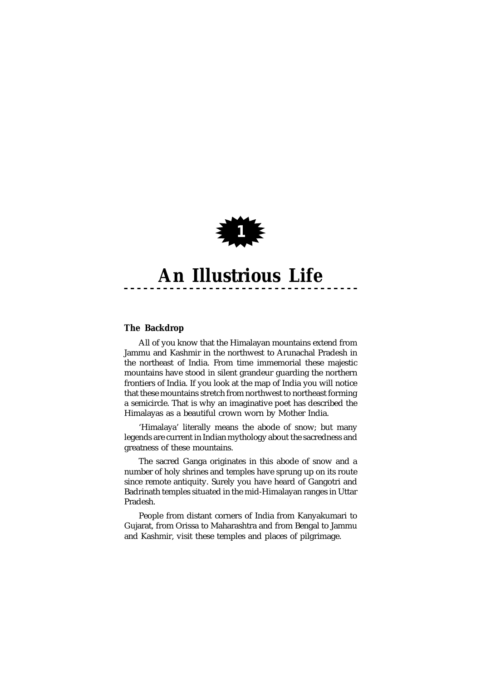

### **The Backdrop**

All of you know that the Himalayan mountains extend from Jammu and Kashmir in the northwest to Arunachal Pradesh in the northeast of India. From time immemorial these majestic mountains have stood in silent grandeur guarding the northern frontiers of India. If you look at the map of India you will notice that these mountains stretch from northwest to northeast forming a semicircle. That is why an imaginative poet has described the Himalayas as a beautiful crown worn by Mother India.

'Himalaya' literally means the abode of snow; but many legends are current in Indian mythology about the sacredness and greatness of these mountains.

The sacred Ganga originates in this abode of snow and a number of holy shrines and temples have sprung up on its route since remote antiquity. Surely you have heard of Gangotri and Badrinath temples situated in the mid-Himalayan ranges in Uttar Pradesh.

People from distant corners of India from Kanyakumari to Gujarat, from Orissa to Maharashtra and from Bengal to Jammu and Kashmir, visit these temples and places of pilgrimage.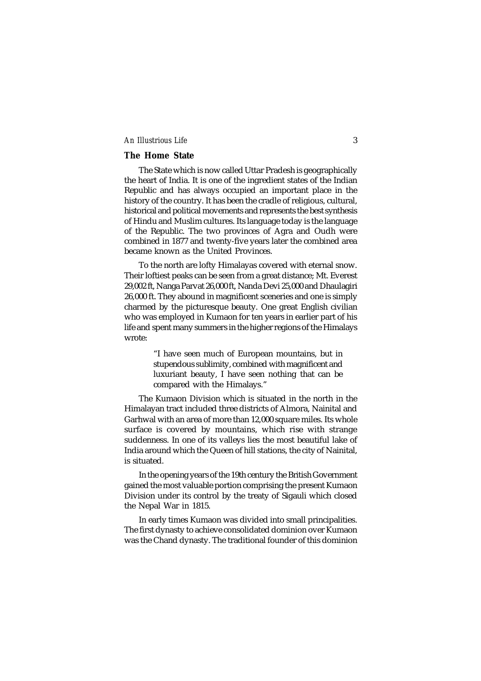#### **The Home State**

The State which is now called Uttar Pradesh is geographically the heart of India. It is one of the ingredient states of the Indian Republic and has always occupied an important place in the history of the country. It has been the cradle of religious, cultural, historical and political movements and represents the best synthesis of Hindu and Muslim cultures. Its language today is the language of the Republic. The two provinces of Agra and Oudh were combined in 1877 and twenty-five years later the combined area became known as the United Provinces.

To the north are lofty Himalayas covered with eternal snow. Their loftiest peaks can be seen from a great distance; Mt. Everest 29,002 ft, Nanga Parvat 26,000 ft, Nanda Devi 25,000 and Dhaulagiri 26,000 ft. They abound in magnificent sceneries and one is simply charmed by the picturesque beauty. One great English civilian who was employed in Kumaon for ten years in earlier part of his life and spent many summers in the higher regions of the Himalays wrote:

> "I have seen much of European mountains, but in stupendous sublimity, combined with magnificent and luxuriant beauty, I have seen nothing that can be compared with the Himalays."

The Kumaon Division which is situated in the north in the Himalayan tract included three districts of Almora, Nainital and Garhwal with an area of more than 12,000 square miles. Its whole surface is covered by mountains, which rise with strange suddenness. In one of its valleys lies the most beautiful lake of India around which the Queen of hill stations, the city of Nainital, is situated.

In the opening years of the 19th century the British Government gained the most valuable portion comprising the present Kumaon Division under its control by the treaty of Sigauli which closed the Nepal War in 1815.

In early times Kumaon was divided into small principalities. The first dynasty to achieve consolidated dominion over Kumaon was the Chand dynasty. The traditional founder of this dominion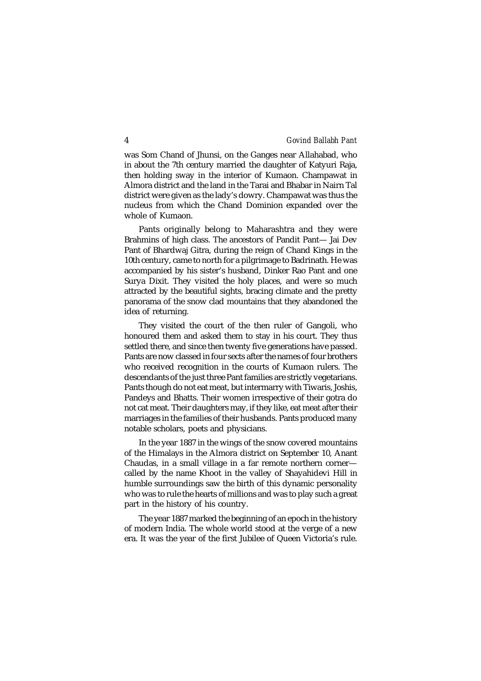was Som Chand of Jhunsi, on the Ganges near Allahabad, who in about the 7th century married the daughter of Katyuri Raja, then holding sway in the interior of Kumaon. Champawat in Almora district and the land in the Tarai and Bhabar in Nairn Tal district were given as the lady's dowry. Champawat was thus the nucleus from which the Chand Dominion expanded over the whole of Kumaon.

Pants originally belong to Maharashtra and they were Brahmins of high class. The ancestors of Pandit Pant— Jai Dev Pant of Bhardwaj Gitra, during the reign of Chand Kings in the 10th century, came to north for a pilgrimage to Badrinath. He was accompanied by his sister's husband, Dinker Rao Pant and one Surya Dixit. They visited the holy places, and were so much attracted by the beautiful sights, bracing climate and the pretty panorama of the snow clad mountains that they abandoned the idea of returning.

They visited the court of the then ruler of Gangoli, who honoured them and asked them to stay in his court. They thus settled there, and since then twenty five generations have passed. Pants are now classed in four sects after the names of four brothers who received recognition in the courts of Kumaon rulers. The descendants of the just three Pant families are strictly vegetarians. Pants though do not eat meat, but intermarry with Tiwaris, Joshis, Pandeys and Bhatts. Their women irrespective of their gotra do not cat meat. Their daughters may, if they like, eat meat after their marriages in the families of their husbands. Pants produced many notable scholars, poets and physicians.

In the year 1887 in the wings of the snow covered mountains of the Himalays in the Almora district on September 10, Anant Chaudas, in a small village in a far remote northern corner called by the name Khoot in the valley of Shayahidevi Hill in humble surroundings saw the birth of this dynamic personality who was to rule the hearts of millions and was to play such a great part in the history of his country.

The year 1887 marked the beginning of an epoch in the history of modern India. The whole world stood at the verge of a new era. It was the year of the first Jubilee of Queen Victoria's rule.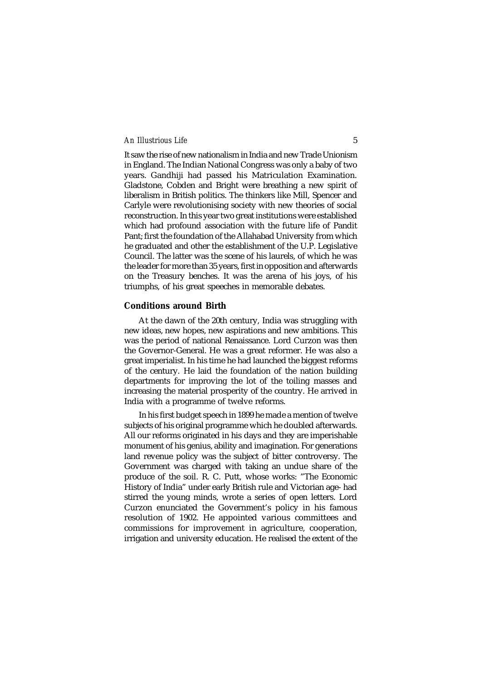It saw the rise of new nationalism in India and new Trade Unionism in England. The Indian National Congress was only a baby of two years. Gandhiji had passed his Matriculation Examination. Gladstone, Cobden and Bright were breathing a new spirit of liberalism in British politics. The thinkers like Mill, Spencer and Carlyle were revolutionising society with new theories of social reconstruction. In this year two great institutions were established which had profound association with the future life of Pandit Pant; first the foundation of the Allahabad University from which he graduated and other the establishment of the U.P. Legislative Council. The latter was the scene of his laurels, of which he was the leader for more than 35 years, first in opposition and afterwards on the Treasury benches. It was the arena of his joys, of his triumphs, of his great speeches in memorable debates.

#### **Conditions around Birth**

At the dawn of the 20th century, India was struggling with new ideas, new hopes, new aspirations and new ambitions. This was the period of national Renaissance. Lord Curzon was then the Governor-General. He was a great reformer. He was also a great imperialist. In his time he had launched the biggest reforms of the century. He laid the foundation of the nation building departments for improving the lot of the toiling masses and increasing the material prosperity of the country. He arrived in India with a programme of twelve reforms.

In his first budget speech in 1899 he made a mention of twelve subjects of his original programme which he doubled afterwards. All our reforms originated in his days and they are imperishable monument of his genius, ability and imagination. For generations land revenue policy was the subject of bitter controversy. The Government was charged with taking an undue share of the produce of the soil. R. C. Putt, whose works: "The Economic History of India" under early British rule and Victorian age- had stirred the young minds, wrote a series of open letters. Lord Curzon enunciated the Government's policy in his famous resolution of 1902. He appointed various committees and commissions for improvement in agriculture, cooperation, irrigation and university education. He realised the extent of the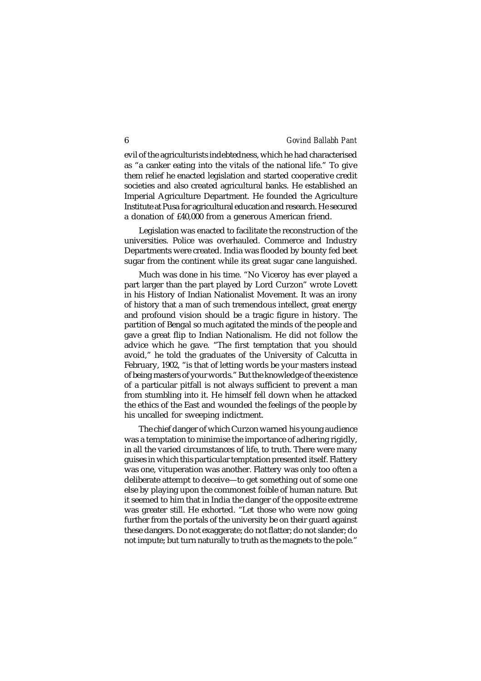evil of the agriculturists indebtedness, which he had characterised as "a canker eating into the vitals of the national life." To give them relief he enacted legislation and started cooperative credit societies and also created agricultural banks. He established an Imperial Agriculture Department. He founded the Agriculture Institute at Pusa for agricultural education and research. He secured a donation of £40,000 from a generous American friend.

Legislation was enacted to facilitate the reconstruction of the universities. Police was overhauled. Commerce and Industry Departments were created. India was flooded by bounty fed beet sugar from the continent while its great sugar cane languished.

Much was done in his time. "No Viceroy has ever played a part larger than the part played by Lord Curzon" wrote Lovett in his History of Indian Nationalist Movement. It was an irony of history that a man of such tremendous intellect, great energy and profound vision should be a tragic figure in history. The partition of Bengal so much agitated the minds of the people and gave a great flip to Indian Nationalism. He did not follow the advice which he gave. "The first temptation that you should avoid," he told the graduates of the University of Calcutta in February, 1902, "is that of letting words be your masters instead of being masters of your words." But the knowledge of the existence of a particular pitfall is not always sufficient to prevent a man from stumbling into it. He himself fell down when he attacked the ethics of the East and wounded the feelings of the people by his uncalled for sweeping indictment.

The chief danger of which Curzon warned his young audience was a temptation to minimise the importance of adhering rigidly, in all the varied circumstances of life, to truth. There were many guises in which this particular temptation presented itself. Flattery was one, vituperation was another. Flattery was only too often a deliberate attempt to deceive—to get something out of some one else by playing upon the commonest foible of human nature. But it seemed to him that in India the danger of the opposite extreme was greater still. He exhorted. "Let those who were now going further from the portals of the university be on their quard against these dangers. Do not exaggerate; do not flatter; do not slander; do not impute; but turn naturally to truth as the magnets to the pole."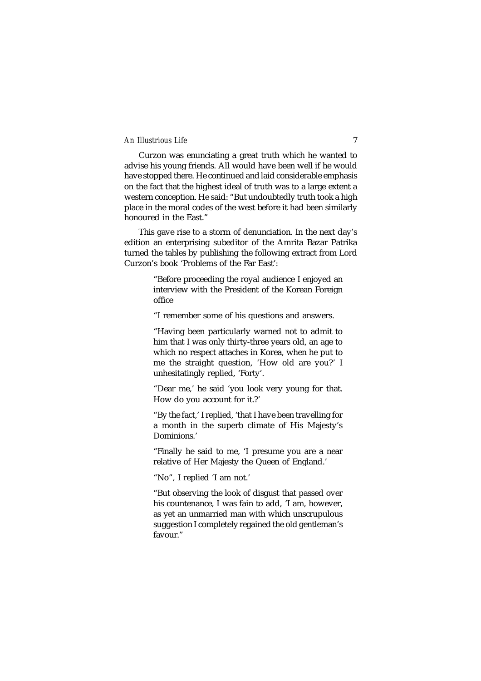Curzon was enunciating a great truth which he wanted to advise his young friends. All would have been well if he would have stopped there. He continued and laid considerable emphasis on the fact that the highest ideal of truth was to a large extent a western conception. He said: "But undoubtedly truth took a high place in the moral codes of the west before it had been similarly honoured in the East."

This gave rise to a storm of denunciation. In the next day's edition an enterprising subeditor of the Amrita Bazar Patrika turned the tables by publishing the following extract from Lord Curzon's book 'Problems of the Far East':

> "Before proceeding the royal audience I enjoyed an interview with the President of the Korean Foreign office

"I remember some of his questions and answers.

"Having been particularly warned not to admit to him that I was only thirty-three years old, an age to which no respect attaches in Korea, when he put to me the straight question, 'How old are you?' I unhesitatingly replied, 'Forty'.

"Dear me,' he said 'you look very young for that. How do you account for it.?'

"By the fact,' I replied, 'that I have been travelling for a month in the superb climate of His Majesty's Dominions.'

"Finally he said to me, 'I presume you are a near relative of Her Majesty the Queen of England.'

"No", I replied 'I am not.'

"But observing the look of disgust that passed over his countenance, I was fain to add, 'I am, however, as yet an unmarried man with which unscrupulous suggestion I completely regained the old gentleman's favour."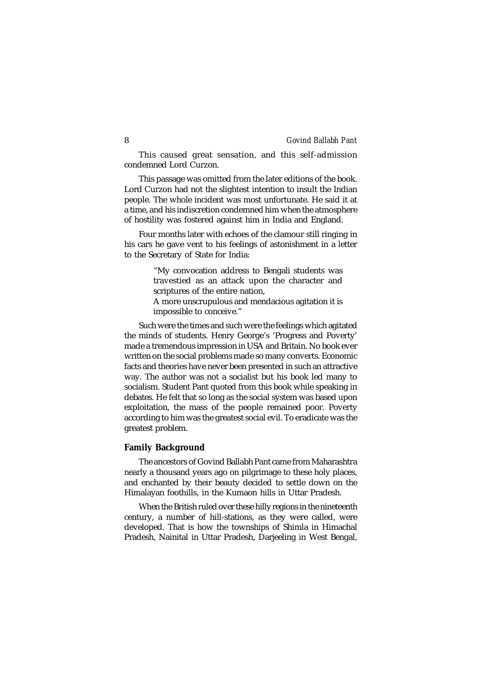This caused great sensation, and this self-admission condemned Lord Curzon.

This passage was omitted from the later editions of the book. Lord Curzon had not the slightest intention to insult the Indian people. The whole incident was most unfortunate. He said it at a time, and his indiscretion condemned him when the atmosphere of hostility was fostered against him in India and England.

Four months later with echoes of the clamour still ringing in his cars he gave vent to his feelings of astonishment in a letter to the Secretary of State for India:

> "My convocation address to Bengali students was travestied as an attack upon the character and scriptures of the entire nation,

> A more unscrupulous and mendacious agitation it is impossible to conceive."

Such were the times and such were the feelings which agitated the minds of students. Henry George's 'Progress and Poverty' made a tremendous impression in USA and Britain. No book ever written on the social problems made so many converts. Economic facts and theories have never been presented in such an attractive way. The author was not a socialist but his book led many to socialism. Student Pant quoted from this book while speaking in debates. He felt that so long as the social system was based upon exploitation, the mass of the people remained poor. Poverty according to him was the greatest social evil. To eradicate was the greatest problem.

#### **Family Background**

The ancestors of Govind Ballabh Pant came from Maharashtra nearly a thousand years ago on pilgrimage to these holy places, and enchanted by their beauty decided to settle down on the Himalayan foothills, in the Kumaon hills in Uttar Pradesh.

When the British ruled over these hilly regions in the nineteenth century, a number of hill-stations, as they were called, were developed. That is how the townships of Shimla in Himachal Pradesh, Nainital in Uttar Pradesh, Darjeeling in West Bengal,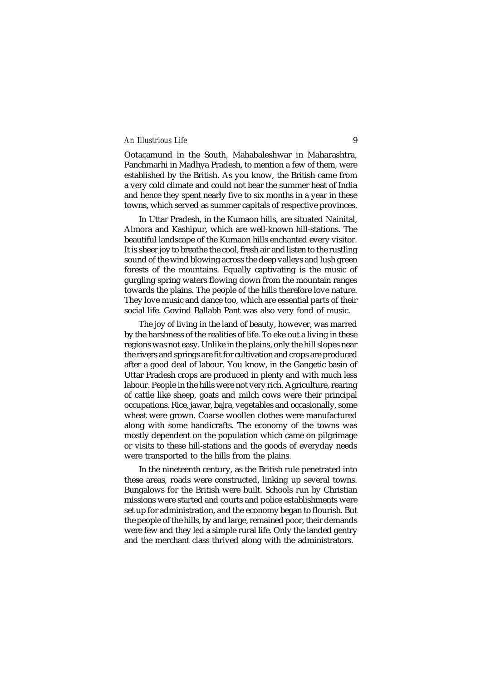Ootacamund in the South, Mahabaleshwar in Maharashtra, Panchmarhi in Madhya Pradesh, to mention a few of them, were established by the British. As you know, the British came from a very cold climate and could not bear the summer heat of India and hence they spent nearly five to six months in a year in these towns, which served as summer capitals of respective provinces.

In Uttar Pradesh, in the Kumaon hills, are situated Nainital, Almora and Kashipur, which are well-known hill-stations. The beautiful landscape of the Kumaon hills enchanted every visitor. It is sheer joy to breathe the cool, fresh air and listen to the rustling sound of the wind blowing across the deep valleys and lush green forests of the mountains. Equally captivating is the music of gurgling spring waters flowing down from the mountain ranges towards the plains. The people of the hills therefore love nature. They love music and dance too, which are essential parts of their social life. Govind Ballabh Pant was also very fond of music.

The joy of living in the land of beauty, however, was marred by the harshness of the realities of life. To eke out a living in these regions was not easy. Unlike in the plains, only the hill slopes near the rivers and springs are fit for cultivation and crops are produced after a good deal of labour. You know, in the Gangetic basin of Uttar Pradesh crops are produced in plenty and with much less labour. People in the hills were not very rich. Agriculture, rearing of cattle like sheep, goats and milch cows were their principal occupations. Rice, jawar, bajra, vegetables and occasionally, some wheat were grown. Coarse woollen clothes were manufactured along with some handicrafts. The economy of the towns was mostly dependent on the population which came on pilgrimage or visits to these hill-stations and the goods of everyday needs were transported to the hills from the plains.

In the nineteenth century, as the British rule penetrated into these areas, roads were constructed, linking up several towns. Bungalows for the British were built. Schools run by Christian missions were started and courts and police establishments were set up for administration, and the economy began to flourish. But the people of the hills, by and large, remained poor, their demands were few and they led a simple rural life. Only the landed gentry and the merchant class thrived along with the administrators.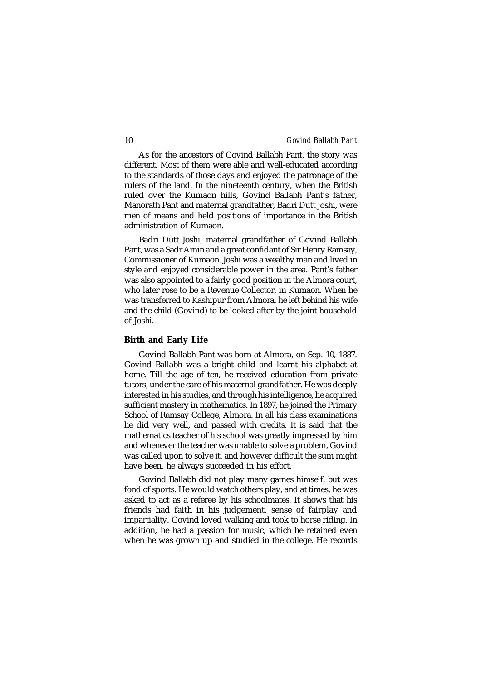As for the ancestors of Govind Ballabh Pant, the story was different. Most of them were able and well-educated according to the standards of those days and enjoyed the patronage of the rulers of the land. In the nineteenth century, when the British ruled over the Kumaon hills, Govind Ballabh Pant's father, Manorath Pant and maternal grandfather, Badri Dutt Joshi, were men of means and held positions of importance in the British administration of Kumaon.

Badri Dutt Joshi, maternal grandfather of Govind Ballabh Pant, was a Sadr Amin and a great confidant of Sir Henry Ramsay, Commissioner of Kumaon. Joshi was a wealthy man and lived in style and enjoyed considerable power in the area. Pant's father was also appointed to a fairly good position in the Almora court, who later rose to be a Revenue Collector, in Kumaon. When he was transferred to Kashipur from Almora, he left behind his wife and the child (Govind) to be looked after by the joint household of Joshi.

#### **Birth and Early Life**

Govind Ballabh Pant was born at Almora, on Sep. 10, 1887. Govind Ballabh was a bright child and learnt his alphabet at home. Till the age of ten, he received education from private tutors, under the care of his maternal grandfather. He was deeply interested in his studies, and through his intelligence, he acquired sufficient mastery in mathematics. In 1897, he joined the Primary School of Ramsay College, Almora. In all his class examinations he did very well, and passed with credits. It is said that the mathematics teacher of his school was greatly impressed by him and whenever the teacher was unable to solve a problem, Govind was called upon to solve it, and however difficult the sum might have been, he always succeeded in his effort.

Govind Ballabh did not play many games himself, but was fond of sports. He would watch others play, and at times, he was asked to act as a referee by his schoolmates. It shows that his friends had faith in his judgement, sense of fairplay and impartiality. Govind loved walking and took to horse riding. In addition, he had a passion for music, which he retained even when he was grown up and studied in the college. He records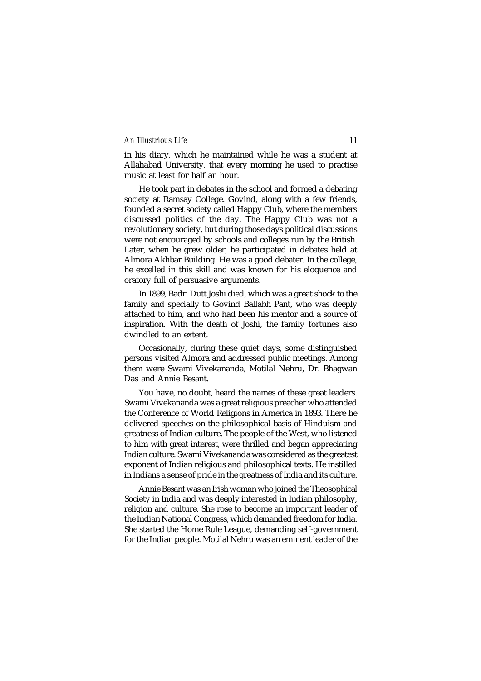in his diary, which he maintained while he was a student at Allahabad University, that every morning he used to practise music at least for half an hour.

He took part in debates in the school and formed a debating society at Ramsay College. Govind, along with a few friends, founded a secret society called Happy Club, where the members discussed politics of the day. The Happy Club was not a revolutionary society, but during those days political discussions were not encouraged by schools and colleges run by the British. Later, when he grew older, he participated in debates held at Almora Akhbar Building. He was a good debater. In the college, he excelled in this skill and was known for his eloquence and oratory full of persuasive arguments.

In 1899, Badri Dutt Joshi died, which was a great shock to the family and specially to Govind Ballabh Pant, who was deeply attached to him, and who had been his mentor and a source of inspiration. With the death of Joshi, the family fortunes also dwindled to an extent.

Occasionally, during these quiet days, some distinguished persons visited Almora and addressed public meetings. Among them were Swami Vivekananda, Motilal Nehru, Dr. Bhagwan Das and Annie Besant.

You have, no doubt, heard the names of these great leaders. Swami Vivekananda was a great religious preacher who attended the Conference of World Religions in America in 1893. There he delivered speeches on the philosophical basis of Hinduism and greatness of Indian culture. The people of the West, who listened to him with great interest, were thrilled and began appreciating Indian culture. Swami Vivekananda was considered as the greatest exponent of Indian religious and philosophical texts. He instilled in Indians a sense of pride in the greatness of India and its culture.

Annie Besant was an Irish woman who joined the Theosophical Society in India and was deeply interested in Indian philosophy, religion and culture. She rose to become an important leader of the Indian National Congress, which demanded freedom for India. She started the Home Rule League, demanding self-government for the Indian people. Motilal Nehru was an eminent leader of the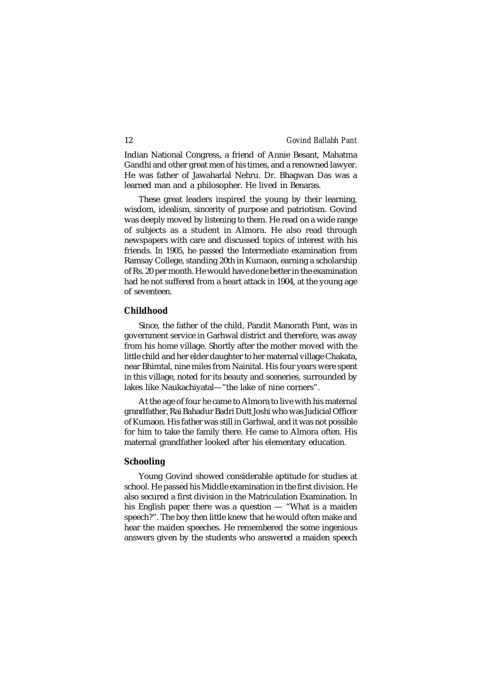Indian National Congress, a friend of Annie Besant, Mahatma Gandhi and other great men of his times, and a renowned lawyer. He was father of Jawaharlal Nehru. Dr. Bhagwan Das was a learned man and a philosopher. He lived in Benaras.

These great leaders inspired the young by their learning, wisdom, idealism, sincerity of purpose and patriotism. Govind was deeply moved by listening to them. He read on a wide range of subjects as a student in Almora. He also read through newspapers with care and discussed topics of interest with his friends. In 1905, he passed the Intermediate examination from Ramsay College, standing 20th in Kumaon, earning a scholarship of Rs. 20 per month. He would have done better in the examination had he not suffered from a heart attack in 1904, at the young age of seventeen.

#### **Childhood**

Since, the father of the child, Pandit Manorath Pant, was in government service in Garhwal district and therefore, was away from his home village. Shortly after the mother moved with the little child and her elder daughter to her maternal village Chakata, near Bhimtal, nine miles from Nainital. His four years were spent in this village, noted for its beauty and sceneries, surrounded by lakes like Naukachiyatal—"the lake of nine corners".

At the age of four he came to Almora to live with his maternal grandfather, Rai Bahadur Badri Dutt Joshi who was Judicial Officer of Kumaon. His father was still in Garhwal, and it was not possible for him to take the family there. He came to Almora often. His maternal grandfather looked after his elementary education.

### **Schooling**

Young Govind showed considerable aptitude for studies at school. He passed his Middle examination in the first division. He also secured a first division in the Matriculation Examination. In his English paper there was a question — "What is a maiden speech?". The boy then little knew that he would often make and hear the maiden speeches. He remembered the some ingenious answers given by the students who answered a maiden speech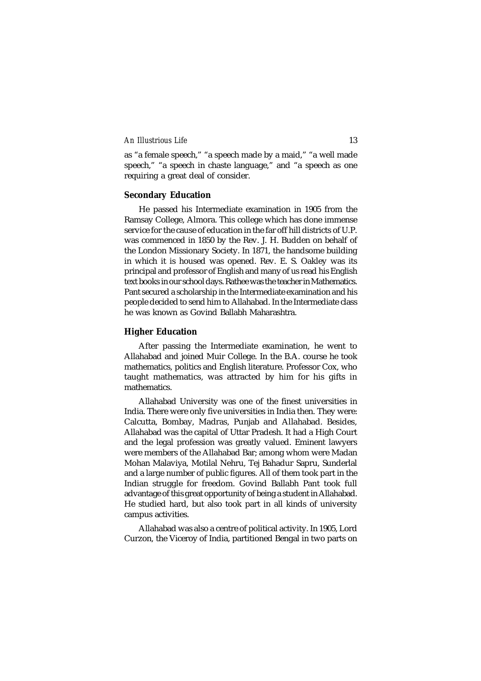as "a female speech," "a speech made by a maid," "a well made speech," "a speech in chaste language," and "a speech as one requiring a great deal of consider.

#### **Secondary Education**

He passed his Intermediate examination in 1905 from the Ramsay College, Almora. This college which has done immense service for the cause of education in the far off hill districts of U.P. was commenced in 1850 by the Rev. J. H. Budden on behalf of the London Missionary Society. In 1871, the handsome building in which it is housed was opened. Rev. E. S. Oakley was its principal and professor of English and many of us read his English text books in our school days. Rathee was the teacher in Mathematics. Pant secured a scholarship in the Intermediate examination and his people decided to send him to Allahabad. In the Intermediate class he was known as Govind Ballabh Maharashtra.

### **Higher Education**

After passing the Intermediate examination, he went to Allahabad and joined Muir College. In the B.A. course he took mathematics, politics and English literature. Professor Cox, who taught mathematics, was attracted by him for his gifts in mathematics.

Allahabad University was one of the finest universities in India. There were only five universities in India then. They were: Calcutta, Bombay, Madras, Punjab and Allahabad. Besides, Allahabad was the capital of Uttar Pradesh. It had a High Court and the legal profession was greatly valued. Eminent lawyers were members of the Allahabad Bar; among whom were Madan Mohan Malaviya, Motilal Nehru, Tej Bahadur Sapru, Sunderlal and a large number of public figures. All of them took part in the Indian struggle for freedom. Govind Ballabh Pant took full advantage of this great opportunity of being a student in Allahabad. He studied hard, but also took part in all kinds of university campus activities.

Allahabad was also a centre of political activity. In 1905, Lord Curzon, the Viceroy of India, partitioned Bengal in two parts on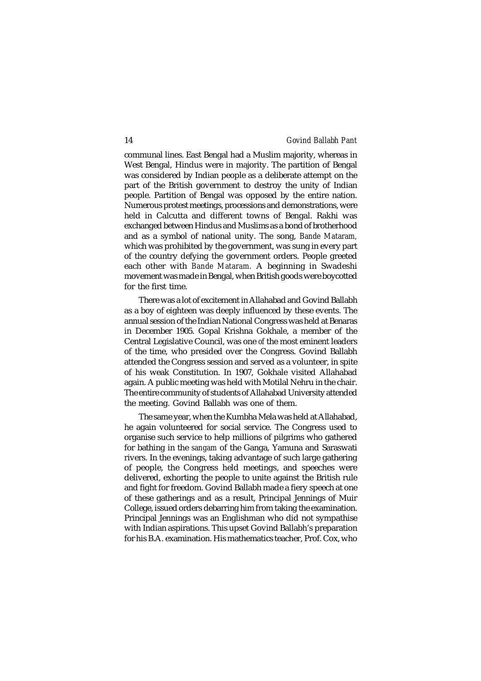communal lines. East Bengal had a Muslim majority, whereas in West Bengal, Hindus were in majority. The partition of Bengal was considered by Indian people as a deliberate attempt on the part of the British government to destroy the unity of Indian people. Partition of Bengal was opposed by the entire nation. Numerous protest meetings, processions and demonstrations, were held in Calcutta and different towns of Bengal. Rakhi was exchanged between Hindus and Muslims as a bond of brotherhood and as a symbol of national unity. The song, *Bande Mataram,* which was prohibited by the government, was sung in every part of the country defying the government orders. People greeted each other with *Bande Mataram.* A beginning in Swadeshi movement was made in Bengal, when British goods were boycotted for the first time.

There was a lot of excitement in Allahabad and Govind Ballabh as a boy of eighteen was deeply influenced by these events. The annual session of the Indian National Congress was held at Benaras in December 1905. Gopal Krishna Gokhale, a member of the Central Legislative Council, was one *of* the most eminent leaders of the time, who presided over the Congress. Govind Ballabh attended the Congress session and served as a volunteer, in spite of his weak Constitution. In 1907, Gokhale visited Allahabad again. A public meeting was held with Motilal Nehru in the chair. The entire community of students of Allahabad University attended the meeting. Govind Ballabh was one of them.

The same year, when the Kumbha Mela was held at Allahabad, he again volunteered for social service. The Congress used to organise such service to help millions of pilgrims who gathered for bathing in the *sangam* of the Ganga, Yamuna and Saraswati rivers. In the evenings, taking advantage of such large gathering of people, the Congress held meetings, and speeches were delivered, exhorting the people to unite against the British rule and fight for freedom. Govind Ballabh made a fiery speech at one of these gatherings and as a result, Principal Jennings of Muir College, issued orders debarring him from taking the examination. Principal Jennings was an Englishman who did not sympathise with Indian aspirations. This upset Govind Ballabh's preparation for his B.A. examination. His mathematics teacher, Prof. Cox, who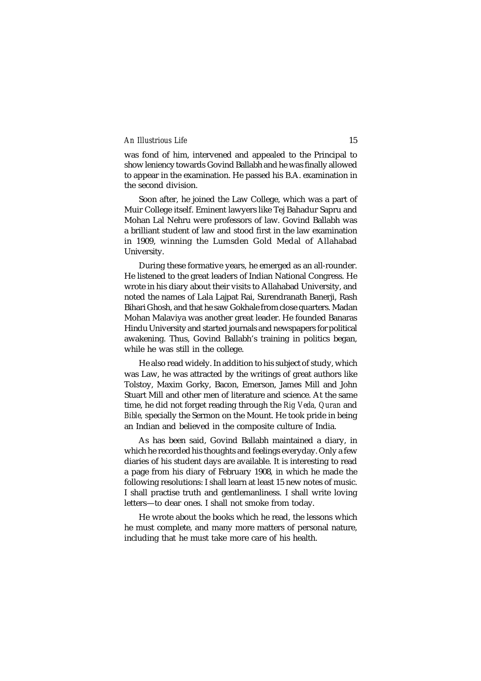was fond of him, intervened and appealed to the Principal to show leniency towards Govind Ballabh and he was finally allowed to appear in the examination. He passed his B.A. examination in the second division.

Soon after, he joined the Law College, which was a part of Muir College itself. Eminent lawyers like Tej Bahadur Sapru and Mohan Lal Nehru were professors of law. Govind Ballabh was a brilliant student of law and stood first in the law examination in 1909, winning the Lumsden Gold Medal of Allahabad University.

During these formative years, he emerged as an all-rounder. He listened to the great leaders of Indian National Congress. He wrote in his diary about their visits to Allahabad University, and noted the names of Lala Lajpat Rai, Surendranath Banerji, Rash Bihari Ghosh, and that he saw Gokhale from close quarters. Madan Mohan Malaviya was another great leader. He founded Banaras Hindu University and started journals and newspapers for political awakening. Thus, Govind Ballabh's training in politics began, while he was still in the college.

He also read widely. In addition to his subject of study, which was Law, he was attracted by the writings of great authors like Tolstoy, Maxim Gorky, Bacon, Emerson, James Mill and John Stuart Mill and other men of literature and science. At the same time, he did not forget reading through the *Rig Veda, Quran* and *Bible,* specially the Sermon on the Mount. He took pride in being an Indian and believed in the composite culture of India.

As has been said, Govind Ballabh maintained a diary, in which he recorded his thoughts and feelings everyday. Only a few diaries of his student days are available. It is interesting to read a page from his diary of February 1908, in which he made the following resolutions: I shall learn at least 15 new notes of music. I shall practise truth and gentlemanliness. I shall write loving letters—to dear ones. I shall not smoke from today.

He wrote about the books which he read, the lessons which he must complete, and many more matters of personal nature, including that he must take more care of his health.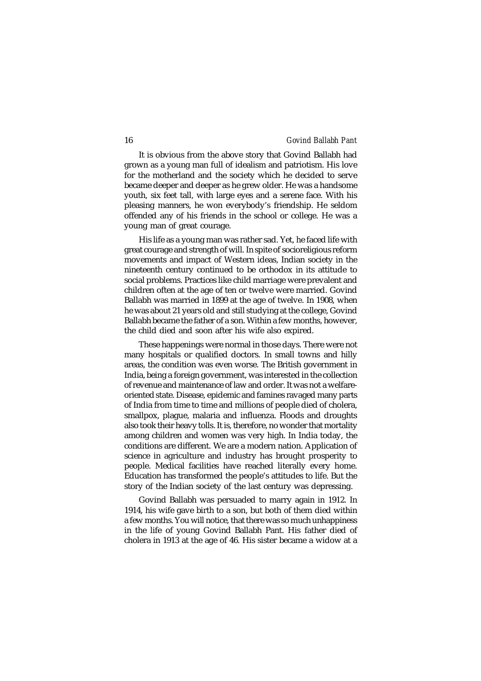It is obvious from the above story that Govind Ballabh had grown as a young man full of idealism and patriotism. His love for the motherland and the society which he decided to serve became deeper and deeper as he grew older. He was a handsome youth, six feet tall, with large eyes and a serene face. With his pleasing manners, he won everybody's friendship. He seldom offended any of his friends in the school or college. He was a young man of great courage.

His life as a young man was rather sad. Yet, he faced life with great courage and strength of will. In spite of socioreligious reform movements and impact of Western ideas, Indian society in the nineteenth century continued to be orthodox in its attitude to social problems. Practices like child marriage were prevalent and children often at the age of ten or twelve were married. Govind Ballabh was married in 1899 at the age of twelve. In 1908, when he was about 21 years old and still studying at the college, Govind Ballabh became the father of a son. Within a few months, however, the child died and soon after his wife also expired.

These happenings were normal in those days. There were not many hospitals or qualified doctors. In small towns and hilly areas, the condition was even worse. The British government in India, being a foreign government, was interested in the collection of revenue and maintenance of law and order. It was not a welfareoriented state. Disease, epidemic and famines ravaged many parts of India from time to time and millions of people died of cholera, smallpox, plague, malaria and influenza. Floods and droughts also took their heavy tolls. It is, therefore, no wonder that mortality among children and women was very high. In India today, the conditions are different. We are a modern nation. Application of science in agriculture and industry has brought prosperity to people. Medical facilities have reached literally every home. Education has transformed the people's attitudes to life. But the story of the Indian society of the last century was depressing.

Govind Ballabh was persuaded to marry again in 1912. In 1914, his wife gave birth to a son, but both of them died within a few months. You will notice, that there was so much unhappiness in the life of young Govind Ballabh Pant. His father died of cholera in 1913 at the age of 46. His sister became a widow at a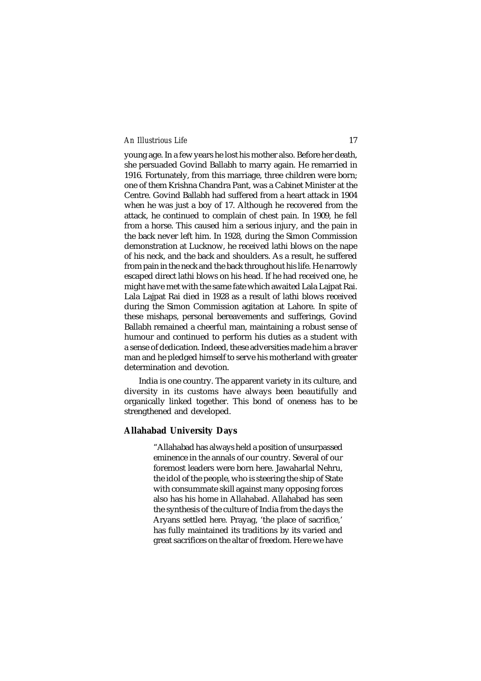young age. In a few years he lost his mother also. Before her death, she persuaded Govind Ballabh to marry again. He remarried in 1916. Fortunately, from this marriage, three children were born; one of them Krishna Chandra Pant, was a Cabinet Minister at the Centre. Govind Ballabh had suffered from a heart attack in 1904 when he was just a boy of 17. Although he recovered from the attack, he continued to complain of chest pain. In 1909, he fell from a horse. This caused him a serious injury, and the pain in the back never left him. In 1928, during the Simon Commission demonstration at Lucknow, he received lathi blows on the nape of his neck, and the back and shoulders. As a result, he suffered from pain in the neck and the back throughout his life. He narrowly escaped direct lathi blows on his head. If he had received one, he might have met with the same fate which awaited Lala Lajpat Rai. Lala Lajpat Rai died in 1928 as a result of lathi blows received during the Simon Commission agitation at Lahore. In spite of these mishaps, personal bereavements and sufferings, Govind Ballabh remained a cheerful man, maintaining a robust sense of humour and continued to perform his duties as a student with a sense of dedication. Indeed, these adversities made him a braver man and he pledged himself to serve his motherland with greater determination and devotion.

India is one country. The apparent variety in its culture, and diversity in its customs have always been beautifully and organically linked together. This bond of oneness has to be strengthened and developed.

### **Allahabad University Days**

"Allahabad has always held a position of unsurpassed eminence in the annals of our country. Several of our foremost leaders were born here. Jawaharlal Nehru, the idol of the people, who is steering the ship of State with consummate skill against many opposing forces also has his home in Allahabad. Allahabad has seen the synthesis of the culture of India from the days the Aryans settled here. Prayag, 'the place of sacrifice,' has fully maintained its traditions by its varied and great sacrifices on the altar of freedom. Here we have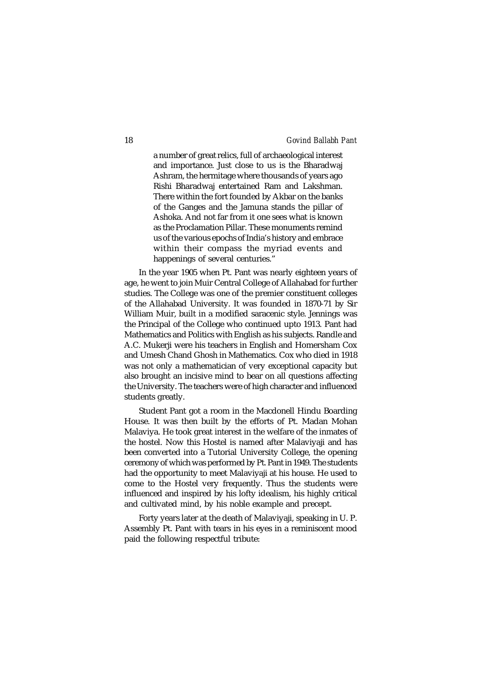a number of great relics, full of archaeological interest and importance. Just close to us is the Bharadwaj Ashram, the hermitage where thousands of years ago Rishi Bharadwaj entertained Ram and Lakshman. There within the fort founded by Akbar on the banks of the Ganges and the Jamuna stands the pillar of Ashoka. And not far from it one sees what is known as the Proclamation Pillar. These monuments remind us of the various epochs of India's history and embrace within their compass the myriad events and happenings of several centuries."

In the year 1905 when Pt. Pant was nearly eighteen years of age, he went to join Muir Central College of Allahabad for further studies. The College was one of the premier constituent colleges of the Allahabad University. It was founded in 1870-71 by Sir William Muir, built in a modified saracenic style. Jennings was the Principal of the College who continued upto 1913. Pant had Mathematics and Politics with English as his subjects. Randle and A.C. Mukerji were his teachers in English and Homersham Cox and Umesh Chand Ghosh in Mathematics. Cox who died in 1918 was not only a mathematician of very exceptional capacity but also brought an incisive mind to bear on all questions affecting the University. The teachers were of high character and influenced students greatly.

Student Pant got a room in the Macdonell Hindu Boarding House. It was then built by the efforts of Pt. Madan Mohan Malaviya. He took great interest in the welfare of the inmates of the hostel. Now this Hostel is named after Malaviyaji and has been converted into a Tutorial University College, the opening ceremony of which was performed by Pt. Pant in 1949. The students had the opportunity to meet Malaviyaji at his house. He used to come to the Hostel very frequently. Thus the students were influenced and inspired by his lofty idealism, his highly critical and cultivated mind, by his noble example and precept.

Forty years later at the death of Malaviyaji, speaking in U. P. Assembly Pt. Pant with tears in his eyes in a reminiscent mood paid the following respectful tribute: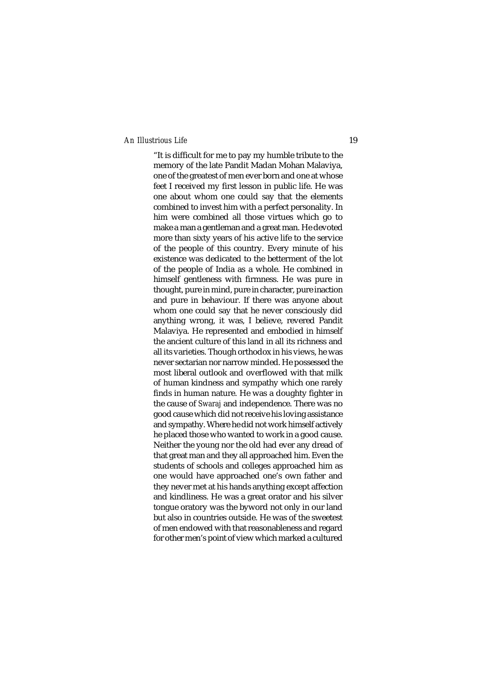"It is difficult for me to pay my humble tribute to the memory of the late Pandit Madan Mohan Malaviya, one of the greatest of men ever born and one at whose feet I received my first lesson in public life. He was one about whom one could say that the elements combined to invest him with a perfect personality. In him were combined all those virtues which go to make a man a gentleman and a great man. He devoted more than sixty years of his active life to the service of the people of this country. Every minute of his existence was dedicated to the betterment of the lot of the people of India as a whole. He combined in himself gentleness with firmness. He was pure in thought, pure in mind, pure in character, pure inaction and pure in behaviour. If there was anyone about whom one could say that he never consciously did anything wrong, it was, I believe, revered Pandit Malaviya. He represented and embodied in himself the ancient culture of this land in all its richness and all its varieties. Though orthodox in his views, he was never sectarian nor narrow minded. He possessed the most liberal outlook and overflowed with that milk of human kindness and sympathy which one rarely finds in human nature. He was a doughty fighter in the cause of *Swaraj* and independence. There was no good cause which did not receive his loving assistance and sympathy. Where he did not work himself actively he placed those who wanted to work in a good cause. Neither the young nor the old had ever any dread of that great man and they all approached him. Even the students of schools and colleges approached him as one would have approached one's own father and they never met at his hands anything except affection and kindliness. He was a great orator and his silver tongue oratory was the byword not only in our land but also in countries outside. He was of the sweetest of men endowed with that reasonableness and regard for other men's point of view which marked a cultured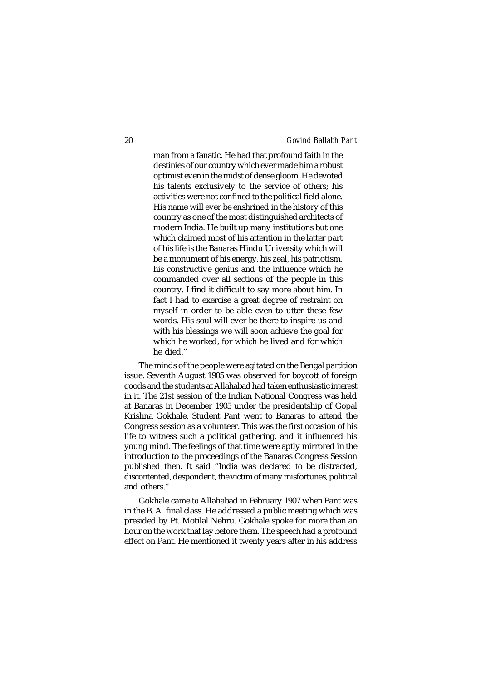man from a fanatic. He had that profound faith in the destinies of our country which ever made him a robust optimist even in the midst of dense gloom. He devoted his talents exclusively to the service of others; his activities were not confined to the political field alone. His name will ever be enshrined in the history of this country as one of the most distinguished architects of modern India. He built up many institutions but one which claimed most of his attention in the latter part of his life is the Banaras Hindu University which will be a monument of his energy, his zeal, his patriotism, his constructive genius and the influence which he commanded over all sections of the people in this country. I find it difficult to say more about him. In fact I had to exercise a great degree of restraint on myself in order to be able even to utter these few words. His soul will ever be there to inspire us and with his blessings we will soon achieve the goal for which he worked, for which he lived and for which he died."

The minds of the people were agitated on the Bengal partition issue. Seventh August 1905 was observed for boycott of foreign goods and the students at Allahabad had taken enthusiastic interest in it. The 21st session of the Indian National Congress was held at Banaras in December 1905 under the presidentship of Gopal Krishna Gokhale. Student Pant went to Banaras to attend the Congress session as a volunteer. This was the first occasion of his life to witness such a political gathering, and it influenced his young mind. The feelings of that time were aptly mirrored in the introduction to the proceedings of the Banaras Congress Session published then. It said "India was declared to be distracted, discontented, despondent, the victim of many misfortunes, political and others."

Gokhale came *to* Allahabad in February 1907 when Pant was in the B. A. final class. He addressed a public meeting which was presided by Pt. Motilal Nehru. Gokhale spoke for more than an hour on the work that lay before them. The speech had a profound effect on Pant. He mentioned it twenty years after in his address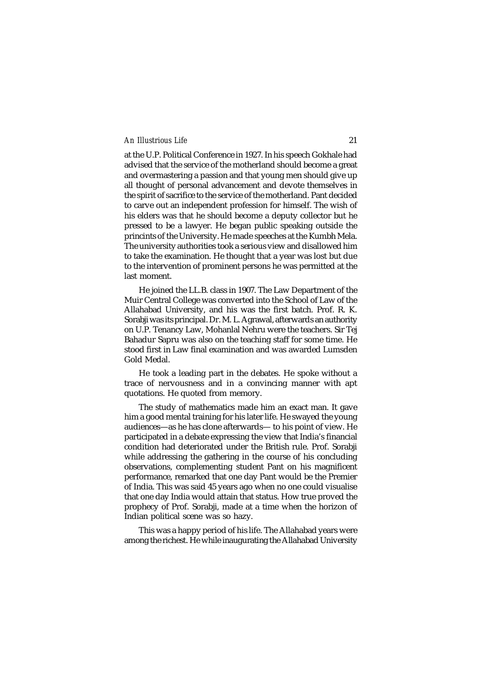at the U.P. Political Conference in 1927. In his speech Gokhale had advised that the service of the motherland should become a great and overmastering a passion and that young men should give up all thought of personal advancement and devote themselves in the spirit of sacrifice to the service of the motherland. Pant decided to carve out an independent profession for himself. The wish of his elders was that he should become a deputy collector but he pressed to be a lawyer. He began public speaking outside the princints of the University. He made speeches at the Kumbh Mela. The university authorities took a serious view and disallowed him to take the examination. He thought that a year was lost but due to the intervention of prominent persons he was permitted at the last moment.

He joined the LL.B. class in 1907. The Law Department of the Muir Central College was converted into the School of Law of the Allahabad University, and his was the first batch. Prof. R. K. Sorabji was its principal. Dr. M. L. Agrawal, afterwards an authority on U.P. Tenancy Law, Mohanlal Nehru were the teachers. Sir Tej Bahadur Sapru was also on the teaching staff for some time. He stood first in Law final examination and was awarded Lumsden Gold Medal.

He took a leading part in the debates. He spoke without a trace of nervousness and in a convincing manner with apt quotations. He quoted from memory.

The study of mathematics made him an exact man. It gave him a good mental training for his later life. He swayed the young audiences—as he has clone afterwards— to his point of view. He participated in a debate expressing the view that India's financial condition had deteriorated under the British rule. Prof. Sorabji while addressing the gathering in the course of his concluding observations, complementing student Pant on his magnificent performance, remarked that one day Pant would be the Premier of India. This was said 45 years ago when no one could visualise that one day India would attain that status. How true proved the prophecy of Prof. Sorabji, made at a time when the horizon of Indian political scene was so hazy.

This was a happy period of his life. The Allahabad years were among the richest. He while inaugurating the Allahabad University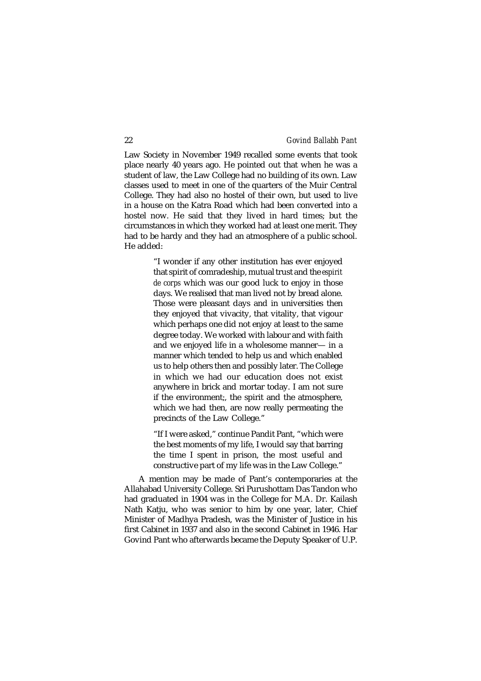Law Society in November 1949 recalled some events that took place nearly 40 years ago. He pointed out that when he was a student of law, the Law College had no building of its own. Law classes used to meet in one of the quarters of the Muir Central College. They had also no hostel of their own, but used to live in a house on the Katra Road which had been converted into a hostel now. He said that they lived in hard times; but the circumstances in which they worked had at least one merit. They had to be hardy and they had an atmosphere of a public school. He added:

> "I wonder if any other institution has ever enjoyed that spirit of comradeship, mutual trust and the *espirit de corps* which was our good luck to enjoy in those days. We realised that man lived not by bread alone. Those were pleasant days and in universities then they enjoyed that vivacity, that vitality, that vigour which perhaps one did not enjoy at least to the same degree today. We worked with labour and with faith and we enjoyed life in a wholesome manner— in a manner which tended to help us and which enabled us to help others then and possibly later. The College in which we had our education does not exist anywhere in brick and mortar today. I am not sure if the environment;, the spirit and the atmosphere, which we had then, are now really permeating the precincts of the Law College."

> "If I were asked," continue Pandit Pant, "which were the best moments of my life, I would say that barring the time I spent in prison, the most useful and constructive part of my life was in the Law College."

A mention may be made of Pant's contemporaries at the Allahabad University College. Sri Purushottam Das Tandon who had graduated in 1904 was in the College for M.A. Dr. Kailash Nath Katju, who was senior to him by one year, later, Chief Minister of Madhya Pradesh, was the Minister of Justice in his first Cabinet in 1937 and also in the second Cabinet in 1946. Har Govind Pant who afterwards became the Deputy Speaker of U.P.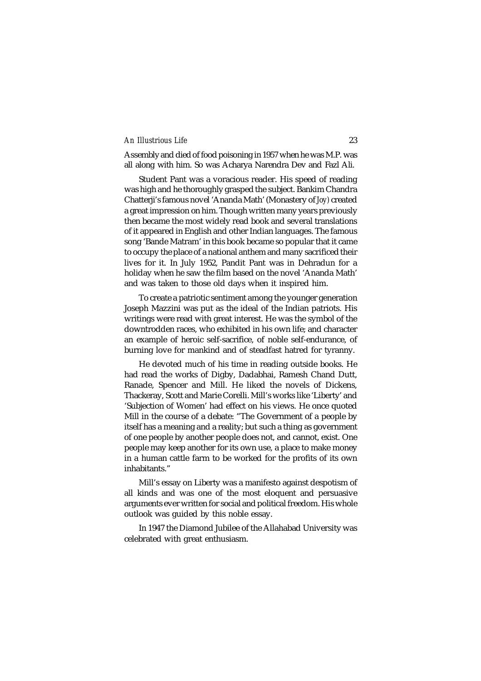Assembly and died of food poisoning in 1957 when he was M.P. was all along with him. So was Acharya Narendra Dev and Fazl Ali.

Student Pant was a voracious reader. His speed of reading was high and he thoroughly grasped the subject. Bankim Chandra Chatterji's famous novel 'Ananda Math' (Monastery of *Joy)* created a great impression on him. Though written many years previously then became the most widely read book and several translations of it appeared in English and other Indian languages. The famous song 'Bande Matram' in this book became so popular that it came to occupy the place of a national anthem and many sacrificed their lives for it. In July 1952, Pandit Pant was in Dehradun for a holiday when he saw the film based on the novel 'Ananda Math' and was taken to those old days when it inspired him.

To create a patriotic sentiment among the younger generation Joseph Mazzini was put as the ideal of the Indian patriots. His writings were read with great interest. He was the symbol of the downtrodden races, who exhibited in his own life; and character an example of heroic self-sacrifice, of noble self-endurance, of burning love for mankind and of steadfast hatred for tyranny.

He devoted much of his time in reading outside books. He had read the works of Digby, Dadabhai, Ramesh Chand Dutt, Ranade, Spencer and Mill. He liked the novels of Dickens, Thackeray, Scott and Marie Corelli. Mill's works like 'Liberty' and 'Subjection of Women' had effect on his views. He once quoted Mill in the course of a debate: "The Government of a people by itself has a meaning and a reality; but such a thing as government of one people by another people does not, and cannot, exist. One people may keep another for its own use, a place to make money in a human cattle farm to be worked for the profits of its own inhabitants."

Mill's essay on Liberty was a manifesto against despotism of all kinds and was one of the most eloquent and persuasive arguments ever written for social and political freedom. His whole outlook was guided by this noble essay.

In 1947 the Diamond Jubilee of the Allahabad University was celebrated with great enthusiasm.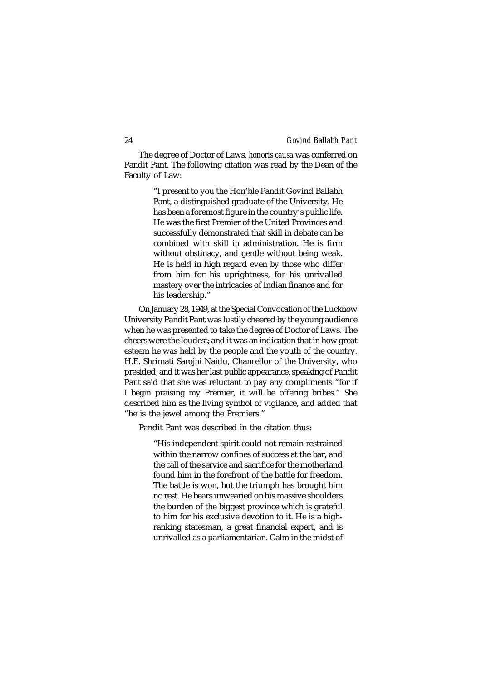The degree of Doctor of Laws, *honoris causa* was conferred on Pandit Pant. The following citation was read by the Dean of the Faculty of Law:

> "I present to you the Hon'ble Pandit Govind Ballabh Pant, a distinguished graduate of the University. He has been a foremost figure in the country's public life. He was the first Premier of the United Provinces and successfully demonstrated that skill in debate can be combined with skill in administration. He is firm without obstinacy, and gentle without being weak. He is held in high regard even by those who differ from him for his uprightness, for his unrivalled mastery over the intricacies of Indian finance and for his leadership."

On January 28, 1949, at the Special Convocation of the Lucknow University Pandit Pant was lustily cheered by the young audience when he was presented to take the degree of Doctor of Laws. The cheers were the loudest; and it was an indication that in how great esteem he was held by the people and the youth of the country. H.E. Shrimati Sarojni Naidu, Chancellor of the University, who presided, and it was her last public appearance, speaking of Pandit Pant said that she was reluctant to pay any compliments "for if I begin praising my Premier, it will be offering bribes." She described him as the living symbol of vigilance, and added that "he is the jewel among the Premiers."

Pandit Pant was described in the citation thus:

"His independent spirit could not remain restrained within the narrow confines of success at the bar, and the call of the service and sacrifice for the motherland found him in the forefront of the battle for freedom. The battle is won, but the triumph has brought him no rest. He bears unwearied on his massive shoulders the burden of the biggest province which is grateful to him for his exclusive devotion to it. He is a highranking statesman, a great financial expert, and is unrivalled as a parliamentarian. Calm in the midst of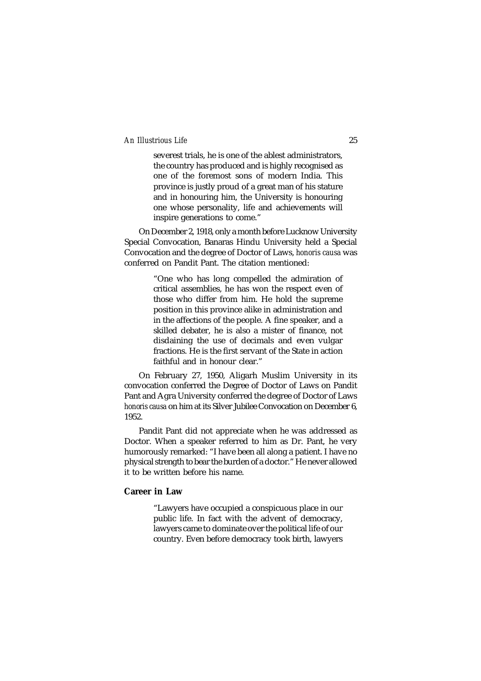severest trials, he is one of the ablest administrators, the country has produced and is highly recognised as one of the foremost sons of modern India. This province is justly proud of a great man of his stature and in honouring him, the University is honouring one whose personality, life and achievements will inspire generations to come."

On December 2, 1918, only a month before Lucknow University Special Convocation, Banaras Hindu University held a Special Convocation and the degree of Doctor of Laws, *honoris causa* was conferred on Pandit Pant. The citation mentioned:

> "One who has long compelled the admiration of critical assemblies, he has won the respect even of those who differ from him. He hold the supreme position in this province alike in administration and in the affections of the people. A fine speaker, and a skilled debater, he is also a mister of finance, not disdaining the use of decimals and even vulgar fractions. He is the first servant of the State in action faithful and in honour clear."

On February 27, 1950, Aligarh Muslim University in its convocation conferred the Degree of Doctor of Laws on Pandit Pant and Agra University conferred the degree of Doctor of Laws *honoris causa* on him at its Silver Jubilee Convocation on December 6, 1952.

Pandit Pant did not appreciate when he was addressed as Doctor. When a speaker referred to him as Dr. Pant, he very humorously remarked: "I have been all along a patient. I have no physical strength to bear the burden of a doctor." He never allowed it to be written before his name.

### **Career in Law**

"Lawyers have occupied a conspicuous place in our public life. In fact with the advent of democracy, lawyers came to dominate over the political life of our country. Even before democracy took birth, lawyers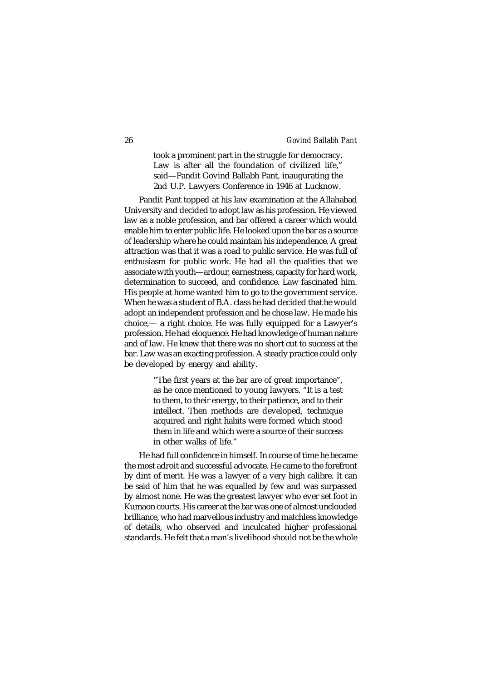took a prominent part in the struggle for democracy. Law is after all the foundation of civilized life," said—Pandit Govind Ballabh Pant, inaugurating the 2nd U.P. Lawyers Conference in 1946 at Lucknow.

Pandit Pant topped at his law examination at the Allahabad University and decided to adopt law as his profession. He viewed law as a noble profession, and bar offered a career which would enable him to enter public life. He looked upon the bar as a source of leadership where he could maintain his independence. A great attraction was that it was a road to public service. He was full of enthusiasm for public work. He had all the qualities that we associate with youth—ardour, earnestness, capacity for hard work, determination to succeed, and confidence. Law fascinated him. His people at home wanted him to go to the government service. When he was a student of B.A. class he had decided that he would adopt an independent profession and he chose law. He made his choice,— a right choice. He was fully equipped for a Lawyer's profession. He had eloquence. He had knowledge of human nature and of law. He knew that there was no short cut to success at the bar. Law was an exacting profession. A steady practice could only be developed by energy and ability.

> "The first years at the bar are of great importance", as he once mentioned to young lawyers. "It is a test to them, to their energy, to their patience, and to their intellect. Then methods are developed, technique acquired and right habits were formed which stood them in life and which were a source of their success in other walks of life."

He had full confidence in himself. In course of time he became the most adroit and successful advocate. He came to the forefront by dint of merit. He was a lawyer of a very high calibre. It can be said of him that he was equalled by few and was surpassed by almost none. He was the greatest lawyer who ever set foot in Kumaon courts. His career at the bar was one of almost unclouded brilliance, who had marvellous industry and matchless knowledge of details, who observed and inculcated higher professional standards. He felt that a man's livelihood should not be the whole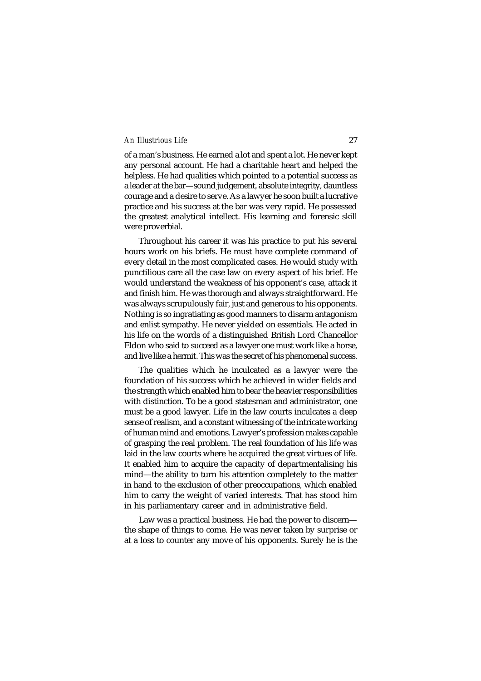of a man's business. He earned a lot and spent a lot. He never kept any personal account. He had a charitable heart and helped the helpless. He had qualities which pointed to a potential success as a leader at the bar—sound judgement, absolute integrity, dauntless courage and a desire to serve. As a lawyer he soon built a lucrative practice and his success at the bar was very rapid. He possessed the greatest analytical intellect. His learning and forensic skill were proverbial.

Throughout his career it was his practice to put his several hours work on his briefs. He must have complete command of every detail in the most complicated cases. He would study with punctilious care all the case law on every aspect of his brief. He would understand the weakness of his opponent's case, attack it and finish him. He was thorough and always straightforward. He was always scrupulously fair, just and generous to his opponents. Nothing is so ingratiating as good manners to disarm antagonism and enlist sympathy. He never yielded on essentials. He acted in his life on the words of a distinguished British Lord Chancellor Eldon who said to succeed as a lawyer one must work like a horse, and live like a hermit. This was the secret of his phenomenal success.

The qualities which he inculcated as a lawyer were the foundation of his success which he achieved in wider fields and the strength which enabled him to bear the heavier responsibilities with distinction. To be a good statesman and administrator, one must be a good lawyer. Life in the law courts inculcates a deep sense of realism, and a constant witnessing of the intricate working of human mind and emotions. Lawyer's profession makes capable of grasping the real problem. The real foundation of his life was laid in the law courts where he acquired the great virtues of life. It enabled him to acquire the capacity of departmentalising his mind—the ability to turn his attention completely to the matter in hand to the exclusion of other preoccupations, which enabled him to carry the weight of varied interests. That has stood him in his parliamentary career and in administrative field.

Law was a practical business. He had the power to discern the shape of things to come. He was never taken by surprise or at a loss to counter any move of his opponents. Surely he is the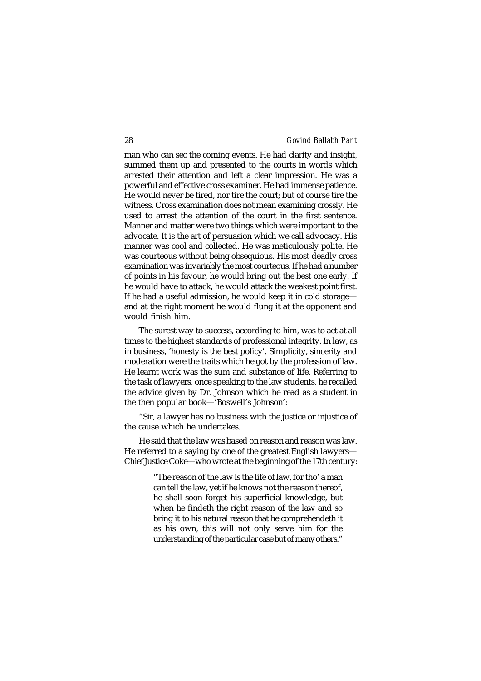man who can sec the coming events. He had clarity and insight, summed them up and presented to the courts in words which arrested their attention and left a clear impression. He was a powerful and effective cross examiner. He had immense patience. He would never be tired, nor tire the court; but of course tire the witness. Cross examination does not mean examining crossly. He used to arrest the attention of the court in the first sentence. Manner and matter were two things which were important to the advocate. It is the art of persuasion which we call advocacy. His manner was cool and collected. He was meticulously polite. He was courteous without being obsequious. His most deadly cross examination was invariably the most courteous. If he had a number of points in his favour, he would bring out the best one early. If he would have to attack, he would attack the weakest point first. If he had a useful admission, he would keep it in cold storage and at the right moment he would flung it at the opponent and would finish him.

The surest way to success, according to him, was to act at all times to the highest standards of professional integrity. In law, as in business, 'honesty is the best policy'. Simplicity, sincerity and moderation were the traits which he got by the profession of law. He learnt work was the sum and substance of life. Referring to the task of lawyers, once speaking to the law students, he recalled the advice given by Dr. Johnson which he read as a student in the then popular book—'Boswell's Johnson':

"Sir, a lawyer has no business with the justice or injustice of the cause which he undertakes.

He said that the law was based on reason and reason was law. He referred to a saying by one of the greatest English lawyers— Chief Justice Coke—who wrote at the beginning of the 17th century:

> "The reason of the law is the life of law, for tho' a man can tell the law, yet if he knows not the reason thereof, he shall soon forget his superficial knowledge, but when he findeth the right reason of the law and so bring it to his natural reason that he comprehendeth it as his own, this will not only serve him for the understanding of the particular case but of many others."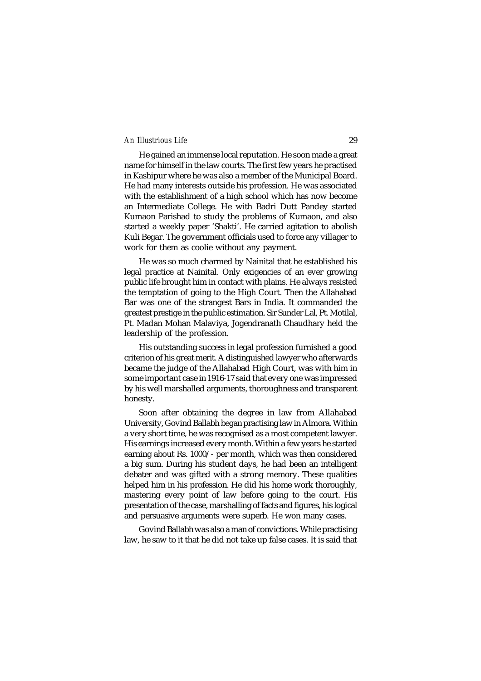He gained an immense local reputation. He soon made a great name for himself in the law courts. The first few years he practised in Kashipur where he was also a member of the Municipal Board. He had many interests outside his profession. He was associated with the establishment of a high school which has now become an Intermediate College. He with Badri Dutt Pandey started Kumaon Parishad to study the problems of Kumaon, and also started a weekly paper 'Shakti'. He carried agitation to abolish Kuli Begar. The government officials used to force any villager to work for them as coolie without any payment.

He was so much charmed by Nainital that he established his legal practice at Nainital. Only exigencies of an ever growing public life brought him in contact with plains. He always resisted the temptation of going to the High Court. Then the Allahabad Bar was one of the strangest Bars in India. It commanded the greatest prestige in the public estimation. Sir Sunder Lal, Pt. Motilal, Pt. Madan Mohan Malaviya, Jogendranath Chaudhary held the leadership of the profession.

His outstanding success in legal profession furnished a good criterion of his great merit. A distinguished lawyer who afterwards became the judge of the Allahabad High Court, was with him in some important case in 1916-17 said that every one was impressed by his well marshalled arguments, thoroughness and transparent honesty.

Soon after obtaining the degree in law from Allahabad University, Govind Ballabh began practising law in Almora. Within a very short time, he was recognised as a most competent lawyer. His earnings increased every month. Within a few years he started earning about Rs. 1000/- per month, which was then considered a big sum. During his student days, he had been an intelligent debater and was gifted with a strong memory. These qualities helped him in his profession. He did his home work thoroughly, mastering every point of law before going to the court. His presentation of the case, marshalling of facts and figures, his logical and persuasive arguments were superb. He won many cases.

Govind Ballabh was also a man of convictions. While practising law, he saw to it that he did not take up false cases. It is said that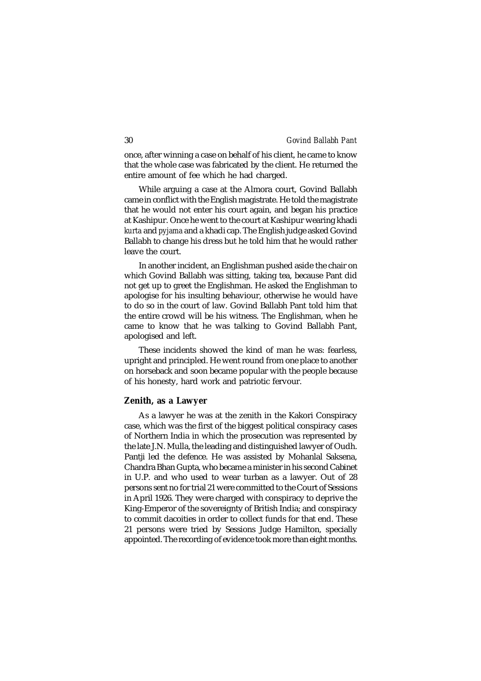once, after winning a case on behalf of his client, he came to know that the whole case was fabricated by the client. He returned the entire amount of fee which he had charged.

While arguing a case at the Almora court, Govind Ballabh came in conflict with the English magistrate. He told the magistrate that he would not enter his court again, and began his practice at Kashipur. Once he went to the court at Kashipur wearing khadi *kurta* and *pyjama* and a khadi cap. The English judge asked Govind Ballabh to change his dress but he told him that he would rather leave the court.

In another incident, an Englishman pushed aside the chair on which Govind Ballabh was sitting, taking tea, because Pant did not get up to greet the Englishman. He asked the Englishman to apologise for his insulting behaviour, otherwise he would have to do so in the court of law. Govind Ballabh Pant told him that the entire crowd will be his witness. The Englishman, when he came to know that he was talking to Govind Ballabh Pant, apologised and left.

These incidents showed the kind of man he was: fearless, upright and principled. He went round from one place to another on horseback and soon became popular with the people because of his honesty, hard work and patriotic fervour.

#### **Zenith, as a Lawyer**

As a lawyer he was at the zenith in the Kakori Conspiracy case, which was the first of the biggest political conspiracy cases of Northern India in which the prosecution was represented by the late J.N. Mulla, the leading and distinguished lawyer of Oudh. Pantji led the defence. He was assisted by Mohanlal Saksena, Chandra Bhan Gupta, who became a minister in his second Cabinet in U.P. and who used to wear turban as a lawyer. Out of 28 persons sent no for trial 21 were committed to the Court of Sessions in April 1926. They were charged with conspiracy to deprive the King-Emperor of the sovereignty of British India; and conspiracy to commit dacoities in order to collect funds for that end. These 21 persons were tried by Sessions Judge Hamilton, specially appointed. The recording of evidence took more than eight months.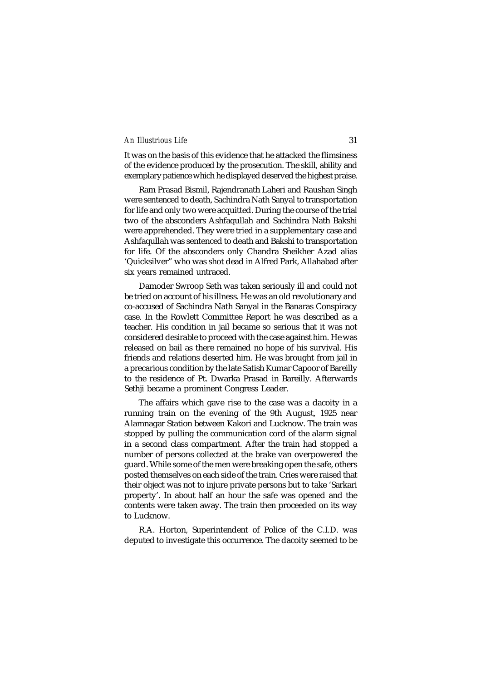It was on the basis of this evidence that he attacked the flimsiness of the evidence produced by the prosecution. The skill, ability and exemplary patience which he displayed deserved the highest praise.

Ram Prasad Bismil, Rajendranath Laheri and Raushan Singh were sentenced to death, Sachindra Nath Sanyal to transportation for life and only two were acquitted. During the course of the trial two of the absconders Ashfaqullah and Sachindra Nath Bakshi were apprehended. They were tried in a supplementary case and Ashfaqullah was sentenced to death and Bakshi to transportation for life. Of the absconders only Chandra Sheikher Azad alias 'Quicksilver" who was shot dead in Alfred Park, Allahabad after six years remained untraced.

Damoder Swroop Seth was taken seriously ill and could not be tried on account of his illness. He was an old revolutionary and co-accused of Sachindra Nath Sanyal in the Banaras Conspiracy case. In the Rowlett Committee Report he was described as a teacher. His condition in jail became so serious that it was not considered desirable to proceed with the case against him. He was released on bail as there remained no hope of his survival. His friends and relations deserted him. He was brought from jail in a precarious condition by the late Satish Kumar Capoor of Bareilly to the residence of Pt. Dwarka Prasad in Bareilly. Afterwards Sethji became a prominent Congress Leader.

The affairs which gave rise to the case was a dacoity in a running train on the evening of the 9th August, 1925 near Alamnagar Station between Kakori and Lucknow. The train was stopped by pulling the communication cord of the alarm signal in a second class compartment. After the train had stopped a number of persons collected at the brake van overpowered the guard. While some of the men were breaking open the safe, others posted themselves on each side of the train. Cries were raised that their object was not to injure private persons but to take 'Sarkari property'. In about half an hour the safe was opened and the contents were taken away. The train then proceeded on its way to Lucknow.

R.A. Horton, Superintendent of Police of the C.I.D. was deputed to investigate this occurrence. The dacoity seemed to be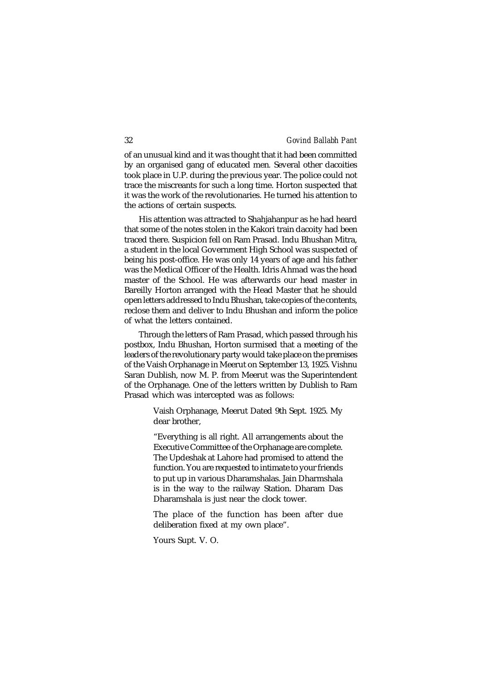of an unusual kind and it was thought that it had been committed by an organised gang of educated men*.* Several other dacoities took place in U.P. during the previous year. The police could not trace the miscreants for such a long time. Horton suspected that it was the work of the revolutionaries. He turned his attention to the actions of certain suspects.

His attention was attracted to Shahjahanpur as he had heard that some of the notes stolen in the Kakori train dacoity had been traced there. Suspicion fell on Ram Prasad. Indu Bhushan Mitra, a student in the local Government High School was suspected of being his post-office. He was only 14 years of age and his father was the Medical Officer of the Health. Idris Ahmad was the head master of the School. He was afterwards our head master in Bareilly Horton arranged with the Head Master that he should open letters addressed to Indu Bhushan, take copies of the contents, reclose them and deliver to Indu Bhushan and inform the police of what the letters contained.

Through the letters of Ram Prasad, which passed through his postbox, Indu Bhushan, Horton surmised that a meeting of the leaders of the revolutionary party would take place on the premises of the Vaish Orphanage in Meerut on September 13, 1925. Vishnu Saran Dublish, now M. P. from Meerut was the Superintendent of the Orphanage. One of the letters written by Dublish to Ram Prasad which was intercepted was as follows:

> Vaish Orphanage, Meerut Dated 9th Sept. 1925. My dear brother,

> "Everything is all right. All arrangements about the Executive Committee of the Orphanage are complete. The Updeshak at Lahore had promised to attend the function. You are requested to intimate to your friends to put up in various Dharamshalas. Jain Dharmshala is in the way *to* the railway Station. Dharam Das Dharamshala is just near the clock tower.

> The place of the function has been after due deliberation fixed at my own place".

Yours Supt. V. O.